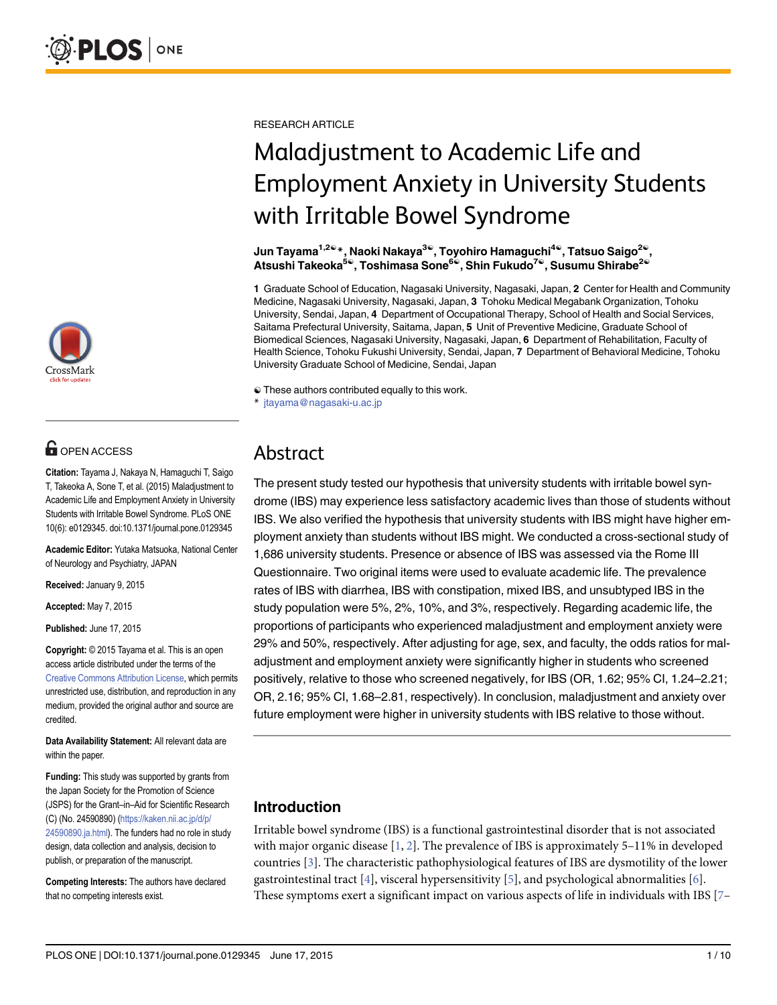

# **OPEN ACCESS**

Citation: Tayama J, Nakaya N, Hamaguchi T, Saigo T, Takeoka A, Sone T, et al. (2015) Maladjustment to Academic Life and Employment Anxiety in University Students with Irritable Bowel Syndrome. PLoS ONE 10(6): e0129345. doi:10.1371/journal.pone.0129345

Academic Editor: Yutaka Matsuoka, National Center of Neurology and Psychiatry, JAPAN

Received: January 9, 2015

Accepted: May 7, 2015

Published: June 17, 2015

Copyright: © 2015 Tayama et al. This is an open access article distributed under the terms of the [Creative Commons Attribution License,](http://creativecommons.org/licenses/by/4.0/) which permits unrestricted use, distribution, and reproduction in any medium, provided the original author and source are credited.

Data Availability Statement: All relevant data are within the paper.

Funding: This study was supported by grants from the Japan Society for the Promotion of Science (JSPS) for the Grant–in–Aid for Scientific Research (C) (No. 24590890) ([https://kaken.nii.ac.jp/d/p/](https://kaken.nii.ac.jp/d/p/24590890.ja.html) [24590890.ja.html\)](https://kaken.nii.ac.jp/d/p/24590890.ja.html). The funders had no role in study design, data collection and analysis, decision to publish, or preparation of the manuscript.

Competing Interests: The authors have declared that no competing interests exist.

<span id="page-0-0"></span>RESEARCH ARTICLE

# Maladjustment to Academic Life and Employment Anxiety in University Students with Irritable Bowel Syndrome

Jun Tayama<sup>1,2©</sup>\*, Naoki Nakaya<sup>3©</sup>, Toyohiro Hamaguchi<sup>4©</sup>, Tatsuo Saigo<sup>2©</sup>, Atsushi Takeoka<sup>5®</sup>, Toshimasa Sone<sup>6®</sup>, Shin Fukudo<sup>7®</sup>, Susumu Shirabe<sup>2®</sup>

1 Graduate School of Education, Nagasaki University, Nagasaki, Japan, 2 Center for Health and Community Medicine, Nagasaki University, Nagasaki, Japan, 3 Tohoku Medical Megabank Organization, Tohoku University, Sendai, Japan, 4 Department of Occupational Therapy, School of Health and Social Services, Saitama Prefectural University, Saitama, Japan, 5 Unit of Preventive Medicine, Graduate School of Biomedical Sciences, Nagasaki University, Nagasaki, Japan, 6 Department of Rehabilitation, Faculty of Health Science, Tohoku Fukushi University, Sendai, Japan, 7 Department of Behavioral Medicine, Tohoku University Graduate School of Medicine, Sendai, Japan

☯ These authors contributed equally to this work.

jtayama@nagasaki-u.ac.jp

# Abstract

The present study tested our hypothesis that university students with irritable bowel syndrome (IBS) may experience less satisfactory academic lives than those of students without IBS. We also verified the hypothesis that university students with IBS might have higher employment anxiety than students without IBS might. We conducted a cross-sectional study of 1,686 university students. Presence or absence of IBS was assessed via the Rome III Questionnaire. Two original items were used to evaluate academic life. The prevalence rates of IBS with diarrhea, IBS with constipation, mixed IBS, and unsubtyped IBS in the study population were 5%, 2%, 10%, and 3%, respectively. Regarding academic life, the proportions of participants who experienced maladjustment and employment anxiety were 29% and 50%, respectively. After adjusting for age, sex, and faculty, the odds ratios for maladjustment and employment anxiety were significantly higher in students who screened positively, relative to those who screened negatively, for IBS (OR, 1.62; 95% CI, 1.24–2.21; OR, 2.16; 95% CI, 1.68–2.81, respectively). In conclusion, maladjustment and anxiety over future employment were higher in university students with IBS relative to those without.

# Introduction

Irritable bowel syndrome (IBS) is a functional gastrointestinal disorder that is not associated with major organic disease  $[1, 2]$  $[1, 2]$  $[1, 2]$  $[1, 2]$ . The prevalence of IBS is approximately 5–11% in developed countries [[3](#page-7-0)]. The characteristic pathophysiological features of IBS are dysmotility of the lower gastrointestinal tract  $[4]$ , visceral hypersensitivity  $[5]$  $[5]$ , and psychological abnormalities  $[6]$ . These symptoms exert a significant impact on various aspects of life in individuals with IBS  $[7 [7 [7-$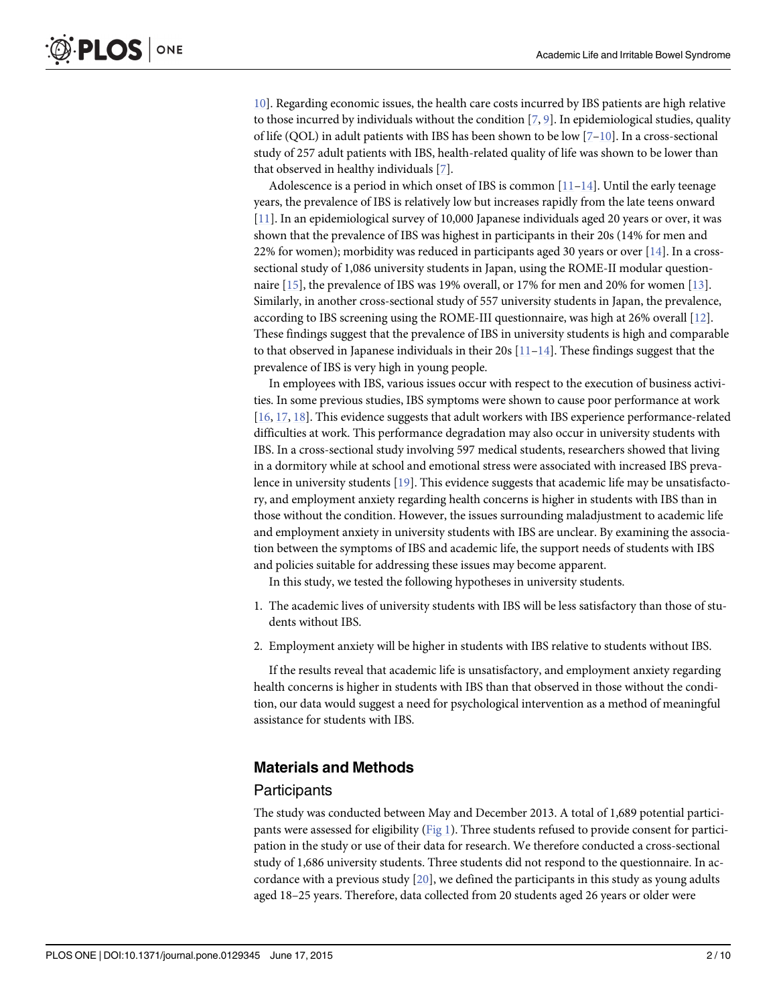<span id="page-1-0"></span>[10\]](#page-7-0). Regarding economic issues, the health care costs incurred by IBS patients are high relative to those incurred by individuals without the condition  $[7, 9]$  $[7, 9]$  $[7, 9]$  $[7, 9]$ . In epidemiological studies, quality of life (QOL) in adult patients with IBS has been shown to be low  $[7-10]$  $[7-10]$  $[7-10]$  $[7-10]$  $[7-10]$ . In a cross-sectional study of 257 adult patients with IBS, health-related quality of life was shown to be lower than that observed in healthy individuals [[7\]](#page-7-0).

Adolescence is a period in which onset of IBS is common  $[11-14]$  $[11-14]$  $[11-14]$  $[11-14]$ . Until the early teenage years, the prevalence of IBS is relatively low but increases rapidly from the late teens onward [\[11](#page-7-0)]. In an epidemiological survey of 10,000 Japanese individuals aged 20 years or over, it was shown that the prevalence of IBS was highest in participants in their 20s (14% for men and 22% for women); morbidity was reduced in participants aged 30 years or over  $[14]$ . In a crosssectional study of 1,086 university students in Japan, using the ROME-II modular questionnaire [[15](#page-8-0)], the prevalence of IBS was 19% overall, or 17% for men and 20% for women [[13](#page-7-0)]. Similarly, in another cross-sectional study of 557 university students in Japan, the prevalence, according to IBS screening using the ROME-III questionnaire, was high at 26% overall [\[12\]](#page-7-0). These findings suggest that the prevalence of IBS in university students is high and comparable to that observed in Japanese individuals in their 20s  $[11-14]$  $[11-14]$  $[11-14]$  $[11-14]$ . These findings suggest that the prevalence of IBS is very high in young people.

In employees with IBS, various issues occur with respect to the execution of business activities. In some previous studies, IBS symptoms were shown to cause poor performance at work [\[16](#page-8-0), [17,](#page-8-0) [18\]](#page-8-0). This evidence suggests that adult workers with IBS experience performance-related difficulties at work. This performance degradation may also occur in university students with IBS. In a cross-sectional study involving 597 medical students, researchers showed that living in a dormitory while at school and emotional stress were associated with increased IBS prevalence in university students  $[19]$  $[19]$  $[19]$ . This evidence suggests that academic life may be unsatisfactory, and employment anxiety regarding health concerns is higher in students with IBS than in those without the condition. However, the issues surrounding maladjustment to academic life and employment anxiety in university students with IBS are unclear. By examining the association between the symptoms of IBS and academic life, the support needs of students with IBS and policies suitable for addressing these issues may become apparent.

In this study, we tested the following hypotheses in university students.

- 1. The academic lives of university students with IBS will be less satisfactory than those of students without IBS.
- 2. Employment anxiety will be higher in students with IBS relative to students without IBS.

If the results reveal that academic life is unsatisfactory, and employment anxiety regarding health concerns is higher in students with IBS than that observed in those without the condition, our data would suggest a need for psychological intervention as a method of meaningful assistance for students with IBS.

#### Materials and Methods

#### **Participants**

The study was conducted between May and December 2013. A total of 1,689 potential participants were assessed for eligibility ([Fig 1](#page-2-0)). Three students refused to provide consent for participation in the study or use of their data for research. We therefore conducted a cross-sectional study of 1,686 university students. Three students did not respond to the questionnaire. In accordance with a previous study  $[20]$  $[20]$ , we defined the participants in this study as young adults aged 18–25 years. Therefore, data collected from 20 students aged 26 years or older were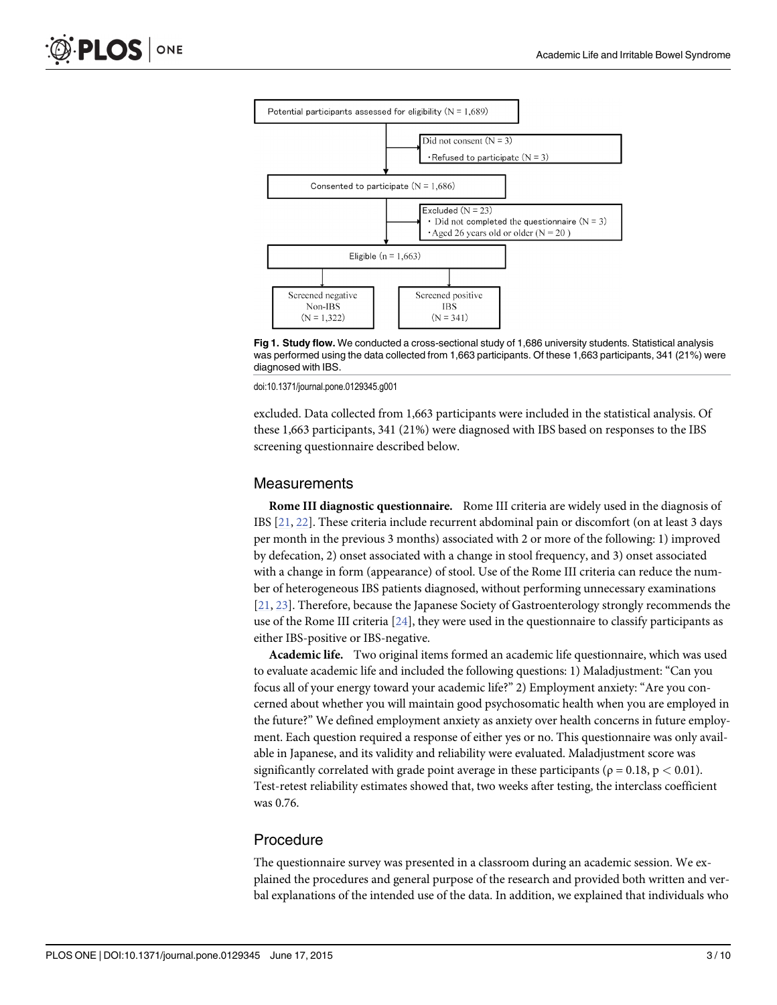<span id="page-2-0"></span>

[Fig 1. S](#page-1-0)tudy flow. We conducted a cross-sectional study of 1,686 university students. Statistical analysis was performed using the data collected from 1,663 participants. Of these 1,663 participants, 341 (21%) were diagnosed with IBS.

doi:10.1371/journal.pone.0129345.g001

excluded. Data collected from 1,663 participants were included in the statistical analysis. Of these 1,663 participants, 341 (21%) were diagnosed with IBS based on responses to the IBS screening questionnaire described below.

#### **Measurements**

Rome III diagnostic questionnaire. Rome III criteria are widely used in the diagnosis of IBS  $[21, 22]$  $[21, 22]$  $[21, 22]$  $[21, 22]$  $[21, 22]$ . These criteria include recurrent abdominal pain or discomfort (on at least 3 days per month in the previous 3 months) associated with 2 or more of the following: 1) improved by defecation, 2) onset associated with a change in stool frequency, and 3) onset associated with a change in form (appearance) of stool. Use of the Rome III criteria can reduce the number of heterogeneous IBS patients diagnosed, without performing unnecessary examinations [\[21](#page-8-0), [23\]](#page-8-0). Therefore, because the Japanese Society of Gastroenterology strongly recommends the use of the Rome III criteria  $[24]$  $[24]$  $[24]$ , they were used in the questionnaire to classify participants as either IBS-positive or IBS-negative.

Academic life. Two original items formed an academic life questionnaire, which was used to evaluate academic life and included the following questions: 1) Maladjustment: "Can you focus all of your energy toward your academic life?" 2) Employment anxiety: "Are you concerned about whether you will maintain good psychosomatic health when you are employed in the future?" We defined employment anxiety as anxiety over health concerns in future employment. Each question required a response of either yes or no. This questionnaire was only available in Japanese, and its validity and reliability were evaluated. Maladjustment score was significantly correlated with grade point average in these participants ( $\rho = 0.18$ ,  $p < 0.01$ ). Test-retest reliability estimates showed that, two weeks after testing, the interclass coefficient was 0.76.

# Procedure

The questionnaire survey was presented in a classroom during an academic session. We explained the procedures and general purpose of the research and provided both written and verbal explanations of the intended use of the data. In addition, we explained that individuals who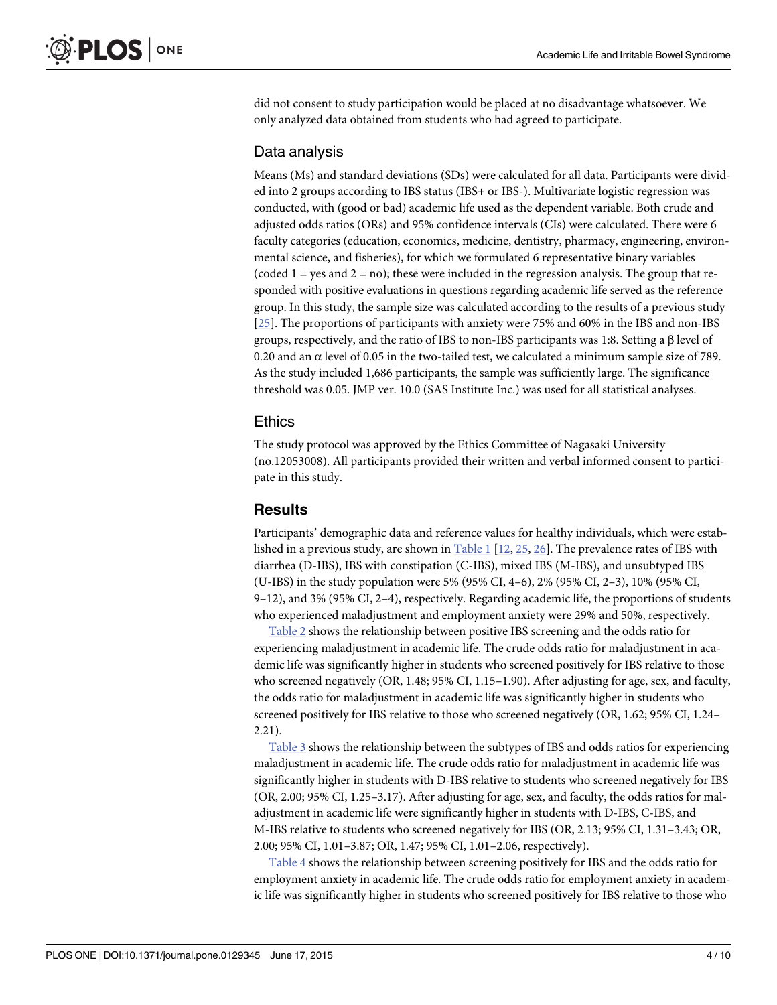<span id="page-3-0"></span>did not consent to study participation would be placed at no disadvantage whatsoever. We only analyzed data obtained from students who had agreed to participate.

### Data analysis

Means (Ms) and standard deviations (SDs) were calculated for all data. Participants were divided into 2 groups according to IBS status (IBS+ or IBS-). Multivariate logistic regression was conducted, with (good or bad) academic life used as the dependent variable. Both crude and adjusted odds ratios (ORs) and 95% confidence intervals (CIs) were calculated. There were 6 faculty categories (education, economics, medicine, dentistry, pharmacy, engineering, environmental science, and fisheries), for which we formulated 6 representative binary variables (coded  $1 =$  yes and  $2 =$  no); these were included in the regression analysis. The group that responded with positive evaluations in questions regarding academic life served as the reference group. In this study, the sample size was calculated according to the results of a previous study [\[25](#page-8-0)]. The proportions of participants with anxiety were 75% and 60% in the IBS and non-IBS groups, respectively, and the ratio of IBS to non-IBS participants was 1:8. Setting a β level of 0.20 and an  $\alpha$  level of 0.05 in the two-tailed test, we calculated a minimum sample size of 789. As the study included 1,686 participants, the sample was sufficiently large. The significance threshold was 0.05. JMP ver. 10.0 (SAS Institute Inc.) was used for all statistical analyses.

#### Ethics

The study protocol was approved by the Ethics Committee of Nagasaki University (no.12053008). All participants provided their written and verbal informed consent to participate in this study.

# **Results**

Participants' demographic data and reference values for healthy individuals, which were established in a previous study, are shown in  $Table 1$  [[12](#page-7-0), [25](#page-8-0), [26](#page-8-0)]. The prevalence rates of IBS with diarrhea (D-IBS), IBS with constipation (C-IBS), mixed IBS (M-IBS), and unsubtyped IBS (U-IBS) in the study population were 5% (95% CI, 4–6), 2% (95% CI, 2–3), 10% (95% CI, 9–12), and 3% (95% CI, 2–4), respectively. Regarding academic life, the proportions of students who experienced maladjustment and employment anxiety were 29% and 50%, respectively.

[Table 2](#page-4-0) shows the relationship between positive IBS screening and the odds ratio for experiencing maladjustment in academic life. The crude odds ratio for maladjustment in academic life was significantly higher in students who screened positively for IBS relative to those who screened negatively (OR, 1.48; 95% CI, 1.15–1.90). After adjusting for age, sex, and faculty, the odds ratio for maladjustment in academic life was significantly higher in students who screened positively for IBS relative to those who screened negatively (OR, 1.62; 95% CI, 1.24– 2.21).

[Table 3](#page-5-0) shows the relationship between the subtypes of IBS and odds ratios for experiencing maladjustment in academic life. The crude odds ratio for maladjustment in academic life was significantly higher in students with D-IBS relative to students who screened negatively for IBS (OR, 2.00; 95% CI, 1.25–3.17). After adjusting for age, sex, and faculty, the odds ratios for maladjustment in academic life were significantly higher in students with D-IBS, C-IBS, and M-IBS relative to students who screened negatively for IBS (OR, 2.13; 95% CI, 1.31–3.43; OR, 2.00; 95% CI, 1.01–3.87; OR, 1.47; 95% CI, 1.01–2.06, respectively).

[Table 4](#page-5-0) shows the relationship between screening positively for IBS and the odds ratio for employment anxiety in academic life. The crude odds ratio for employment anxiety in academic life was significantly higher in students who screened positively for IBS relative to those who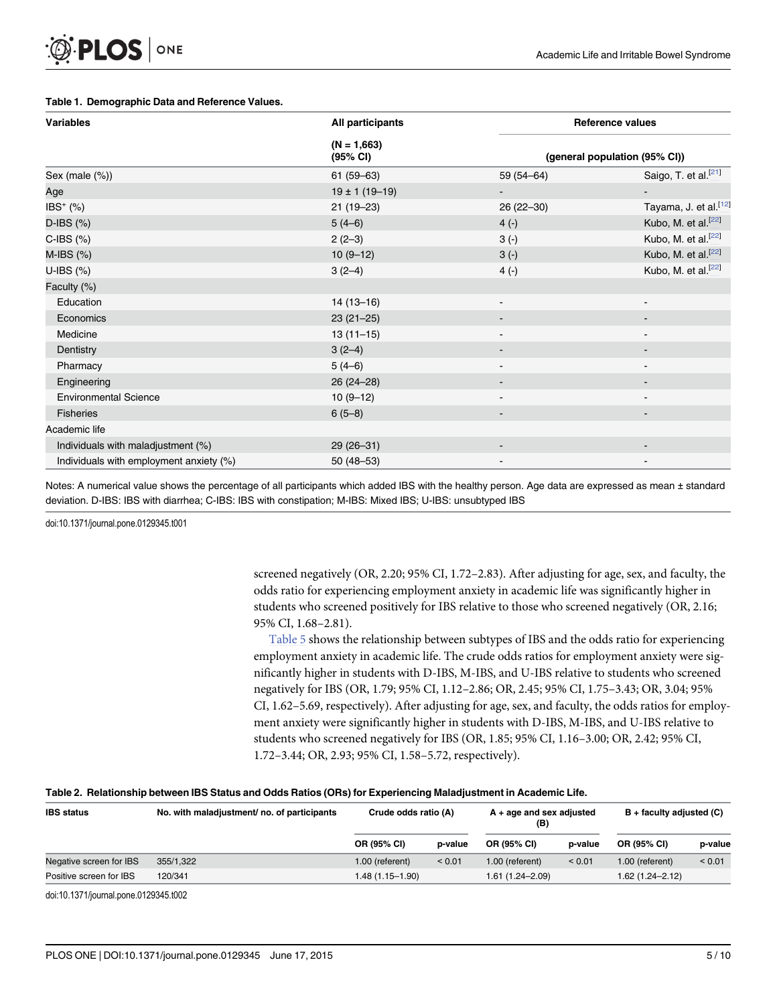#### <span id="page-4-0"></span>[Table 1.](#page-3-0) Demographic Data and Reference Values.

| <b>Variables</b>                        | All participants          | <b>Reference values</b><br>(general population (95% CI)) |                                   |  |
|-----------------------------------------|---------------------------|----------------------------------------------------------|-----------------------------------|--|
|                                         | $(N = 1,663)$<br>(95% CI) |                                                          |                                   |  |
| Sex (male (%))                          | $61(59-63)$               | $59(54 - 64)$                                            | Saigo, T. et al. $\frac{[21]}{4}$ |  |
| Age                                     | $19 \pm 1 (19 - 19)$      |                                                          |                                   |  |
| IBS <sup>+</sup> (%)                    | $21(19-23)$               | $26(22-30)$                                              | Tayama, J. et al. <sup>[12]</sup> |  |
| $D$ -IBS $(\%)$                         | $5(4-6)$                  | $4(-)$                                                   | Kubo, M. et al. $\frac{[22]}{4}$  |  |
| $C$ -IBS $(%)$                          | $2(2-3)$                  | $3(-)$                                                   | Kubo, M. et al. $\frac{[22]}{2}$  |  |
| $M$ -IBS $(%)$                          | $10(9-12)$                | $3(-)$                                                   | Kubo, M. et al. $\frac{[22]}{4}$  |  |
| U-IBS $(%)$                             | $3(2-4)$                  | $4(-)$                                                   | Kubo, M. et al. $\frac{[22]}{2}$  |  |
| Faculty (%)                             |                           |                                                          |                                   |  |
| Education                               | $14(13-16)$               |                                                          | $\blacksquare$                    |  |
| Economics                               | $23(21-25)$               |                                                          |                                   |  |
| Medicine                                | $13(11-15)$               |                                                          | $\overline{\phantom{a}}$          |  |
| Dentistry                               | $3(2-4)$                  |                                                          |                                   |  |
| Pharmacy                                | $5(4-6)$                  |                                                          |                                   |  |
| Engineering                             | $26(24-28)$               |                                                          | $\blacksquare$                    |  |
| <b>Environmental Science</b>            | $10(9-12)$                |                                                          | ۰                                 |  |
| <b>Fisheries</b>                        | $6(5-8)$                  |                                                          | $\overline{\phantom{a}}$          |  |
| Academic life                           |                           |                                                          |                                   |  |
| Individuals with maladjustment (%)      | $29(26-31)$               |                                                          |                                   |  |
| Individuals with employment anxiety (%) | $50(48 - 53)$             |                                                          |                                   |  |

Notes: A numerical value shows the percentage of all participants which added IBS with the healthy person. Age data are expressed as mean ± standard deviation. D-IBS: IBS with diarrhea; C-IBS: IBS with constipation; M-IBS: Mixed IBS; U-IBS: unsubtyped IBS

doi:10.1371/journal.pone.0129345.t001

screened negatively (OR, 2.20; 95% CI, 1.72–2.83). After adjusting for age, sex, and faculty, the odds ratio for experiencing employment anxiety in academic life was significantly higher in students who screened positively for IBS relative to those who screened negatively (OR, 2.16; 95% CI, 1.68–2.81).

[Table 5](#page-6-0) shows the relationship between subtypes of IBS and the odds ratio for experiencing employment anxiety in academic life. The crude odds ratios for employment anxiety were significantly higher in students with D-IBS, M-IBS, and U-IBS relative to students who screened negatively for IBS (OR, 1.79; 95% CI, 1.12–2.86; OR, 2.45; 95% CI, 1.75–3.43; OR, 3.04; 95% CI, 1.62–5.69, respectively). After adjusting for age, sex, and faculty, the odds ratios for employment anxiety were significantly higher in students with D-IBS, M-IBS, and U-IBS relative to students who screened negatively for IBS (OR, 1.85; 95% CI, 1.16–3.00; OR, 2.42; 95% CI, 1.72–3.44; OR, 2.93; 95% CI, 1.58–5.72, respectively).

#### [Table 2.](#page-3-0) Relationship between IBS Status and Odds Ratios (ORs) for Experiencing Maladjustment in Academic Life.

| <b>IBS</b> status       | No. with maladjustment/ no. of participants | Crude odds ratio (A) |         | $A + aqe$ and sex adjusted<br>(B) |         | $B +$ faculty adjusted (C) |         |
|-------------------------|---------------------------------------------|----------------------|---------|-----------------------------------|---------|----------------------------|---------|
|                         |                                             | OR (95% CI)          | p-value | OR (95% CI)                       | p-value | OR (95% CI)                | p-value |
| Negative screen for IBS | 355/1,322                                   | 1.00 (referent)      | < 0.01  | 1.00 (referent)                   | < 0.01  | 1.00 (referent)            | < 0.01  |
| Positive screen for IBS | 120/341                                     | 1.48 (1.15-1.90)     |         | $1.61(1.24 - 2.09)$               |         | 1.62 (1.24–2.12)           |         |

doi:10.1371/journal.pone.0129345.t002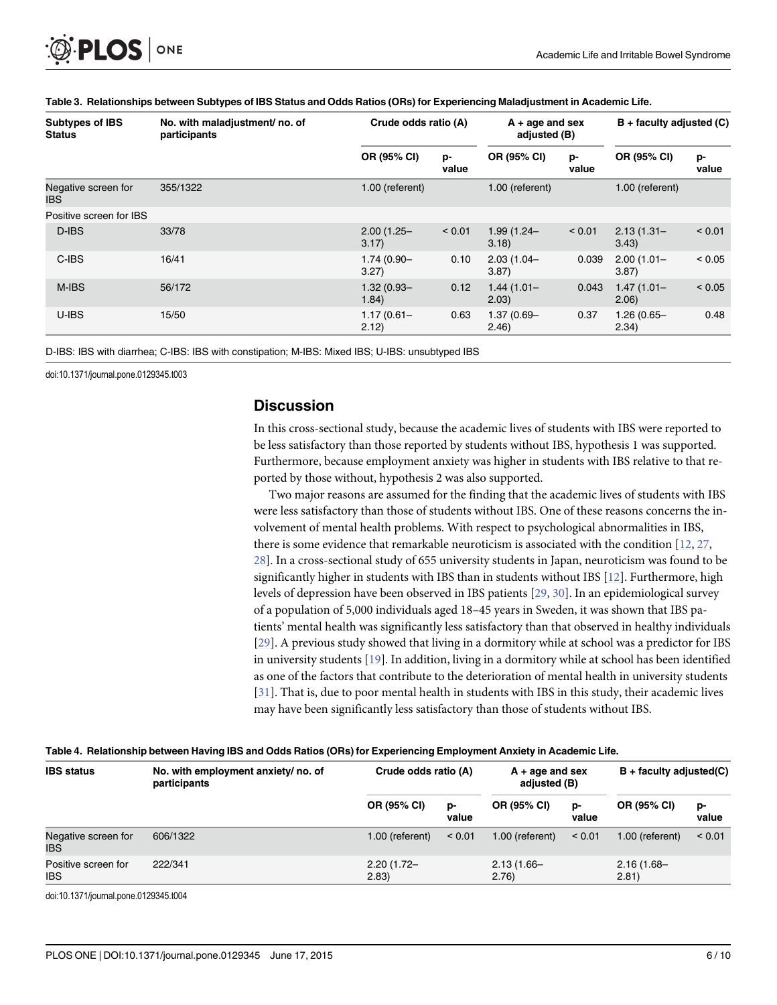<span id="page-5-0"></span>

| Subtypes of IBS<br><b>Status</b>  | No. with maladjustment/no. of<br>participants | Crude odds ratio (A)   |             | $A + aqe$ and sex<br>adjusted (B) |             | $B +$ faculty adjusted (C) |             |
|-----------------------------------|-----------------------------------------------|------------------------|-------------|-----------------------------------|-------------|----------------------------|-------------|
|                                   |                                               | OR (95% CI)            | p-<br>value | OR (95% CI)                       | p-<br>value | OR (95% CI)                | p-<br>value |
| Negative screen for<br><b>IBS</b> | 355/1322                                      | 1.00 (referent)        |             | 1.00 (referent)                   |             | 1.00 (referent)            |             |
| Positive screen for IBS           |                                               |                        |             |                                   |             |                            |             |
| D-IBS                             | 33/78                                         | $2.00(1.25 -$<br>3.17) | < 0.01      | $1.99(1.24 -$<br>3.18             | < 0.01      | $2.13(1.31 -$<br>3.43)     | < 0.01      |
| C-IBS                             | 16/41                                         | $1.74(0.90 -$<br>3.27) | 0.10        | $2.03(1.04 -$<br>3.87             | 0.039       | $2.00(1.01 -$<br>3.87      | < 0.05      |
| M-IBS                             | 56/172                                        | $1.32(0.93 -$<br>1.84) | 0.12        | $1.44(1.01 -$<br>(2.03)           | 0.043       | $1.47(1.01 -$<br>(2.06)    | < 0.05      |
| U-IBS                             | 15/50                                         | $1.17(0.61 -$<br>2.12) | 0.63        | 1.37 (0.69-<br>(2.46)             | 0.37        | $1.26(0.65 -$<br>2.34)     | 0.48        |

#### [Table 3.](#page-3-0) Relationships between Subtypes of IBS Status and Odds Ratios (ORs) for Experiencing Maladjustment in Academic Life.

D-IBS: IBS with diarrhea; C-IBS: IBS with constipation; M-IBS: Mixed IBS; U-IBS: unsubtyped IBS

doi:10.1371/journal.pone.0129345.t003

#### **Discussion**

In this cross-sectional study, because the academic lives of students with IBS were reported to be less satisfactory than those reported by students without IBS, hypothesis 1 was supported. Furthermore, because employment anxiety was higher in students with IBS relative to that reported by those without, hypothesis 2 was also supported.

Two major reasons are assumed for the finding that the academic lives of students with IBS were less satisfactory than those of students without IBS. One of these reasons concerns the involvement of mental health problems. With respect to psychological abnormalities in IBS, there is some evidence that remarkable neuroticism is associated with the condition [\[12](#page-7-0), [27,](#page-8-0) [28\]](#page-8-0). In a cross-sectional study of 655 university students in Japan, neuroticism was found to be significantly higher in students with IBS than in students without IBS  $[12]$ . Furthermore, high levels of depression have been observed in IBS patients [[29](#page-8-0), [30](#page-8-0)]. In an epidemiological survey of a population of 5,000 individuals aged 18–45 years in Sweden, it was shown that IBS patients' mental health was significantly less satisfactory than that observed in healthy individuals [\[29](#page-8-0)]. A previous study showed that living in a dormitory while at school was a predictor for IBS in university students [[19](#page-8-0)]. In addition, living in a dormitory while at school has been identified as one of the factors that contribute to the deterioration of mental health in university students [\[31](#page-8-0)]. That is, due to poor mental health in students with IBS in this study, their academic lives may have been significantly less satisfactory than those of students without IBS.

value

2.13 (1.66– 2.76)

606/1322 1.00 (referent) < 0.01 1.00 (referent) < 0.01 1.00 (referent) < 0.01

value

2.16 (1.68– 2.81)

| <b>Table 1. Hold only between having led and oadd hatto (only) for Experiencing Employment Anxiety in Academic Enc.</b> |                                                     |                      |                                   |                           |  |  |
|-------------------------------------------------------------------------------------------------------------------------|-----------------------------------------------------|----------------------|-----------------------------------|---------------------------|--|--|
| <b>IBS</b> status                                                                                                       | No. with employment anxiety/ no. of<br>participants | Crude odds ratio (A) | $A + aqe$ and sex<br>adjusted (B) | $B +$ faculty adjusted(C) |  |  |
|                                                                                                                         |                                                     | OR (95% CI)<br>D-    | OR (95% CI)<br><b>D-</b>          | OR (95% CI)<br>p-         |  |  |

2.83)

#### [Table 4.](#page-3-0) Relationship between Having IBS and Odds Ratios (ORs) for Experiencing Employment Anxiety in Academic Life.

222/341 2.20 (1.72–

doi:10.1371/journal.pone.0129345.t004

Negative screen for

Positive screen for

IBS

IBS

value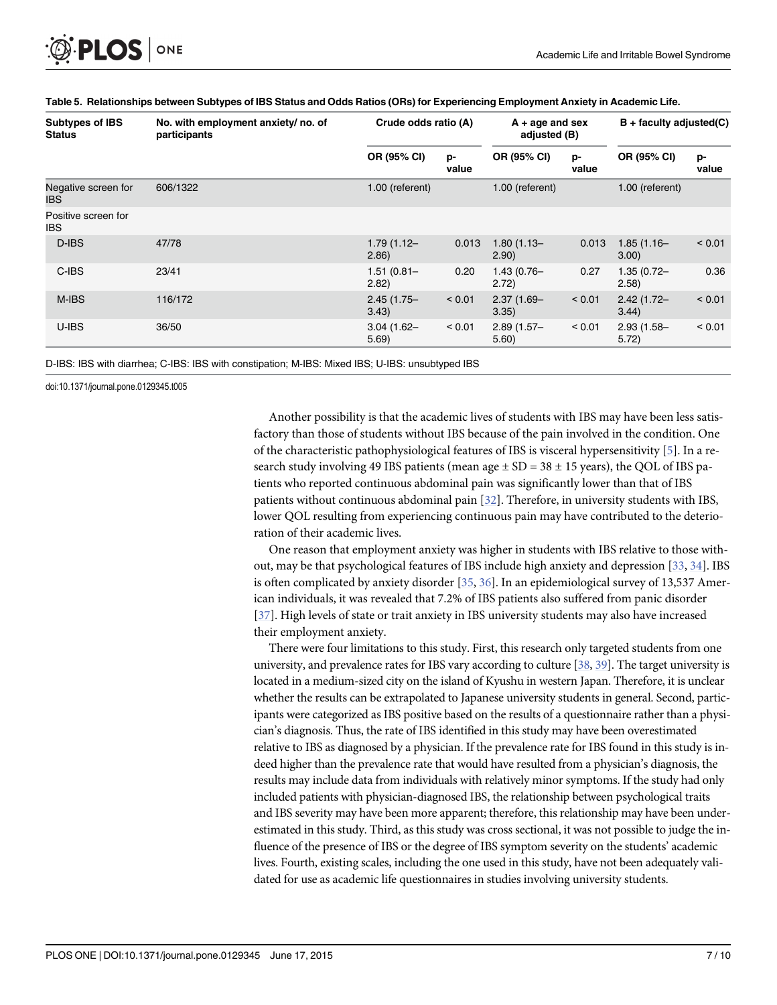<span id="page-6-0"></span>

| <b>Subtypes of IBS</b><br><b>Status</b> | No. with employment anxiety/no. of<br>participants | Crude odds ratio (A)    |             | $A + age$ and sex<br>adjusted (B) |             | $B +$ faculty adjusted(C) |             |
|-----------------------------------------|----------------------------------------------------|-------------------------|-------------|-----------------------------------|-------------|---------------------------|-------------|
|                                         |                                                    | OR (95% CI)             | p-<br>value | OR (95% CI)                       | p-<br>value | OR (95% CI)               | p-<br>value |
| Negative screen for<br><b>IBS</b>       | 606/1322                                           | 1.00 (referent)         |             | 1.00 (referent)                   |             | 1.00 (referent)           |             |
| Positive screen for<br><b>IBS</b>       |                                                    |                         |             |                                   |             |                           |             |
| D-IBS                                   | 47/78                                              | $1.79(1.12 -$<br>(2.86) | 0.013       | $1.80(1.13 -$<br>(2.90)           | 0.013       | $1.85(1.16 -$<br>3.00)    | < 0.01      |
| C-IBS                                   | 23/41                                              | $1.51(0.81 -$<br>2.82)  | 0.20        | $1.43(0.76 -$<br>2.72)            | 0.27        | $1.35(0.72 -$<br>(2.58)   | 0.36        |
| M-IBS                                   | 116/172                                            | $2.45(1.75 -$<br>3.43)  | < 0.01      | $2.37(1.69 -$<br>3.35)            | < 0.01      | $2.42(1.72 -$<br>3.44)    | < 0.01      |
| U-IBS                                   | 36/50                                              | $3.04(1.62 -$<br>5.69   | < 0.01      | $2.89(1.57 -$<br>5.60)            | < 0.01      | $2.93(1.58 -$<br>5.72)    | < 0.01      |

#### [Table 5.](#page-4-0) Relationships between Subtypes of IBS Status and Odds Ratios (ORs) for Experiencing Employment Anxiety in Academic Life.

D-IBS: IBS with diarrhea; C-IBS: IBS with constipation; M-IBS: Mixed IBS; U-IBS: unsubtyped IBS

doi:10.1371/journal.pone.0129345.t005

Another possibility is that the academic lives of students with IBS may have been less satisfactory than those of students without IBS because of the pain involved in the condition. One of the characteristic pathophysiological features of IBS is visceral hypersensitivity  $[5]$  $[5]$ . In a research study involving 49 IBS patients (mean age  $\pm$  SD = 38  $\pm$  15 years), the QOL of IBS patients who reported continuous abdominal pain was significantly lower than that of IBS patients without continuous abdominal pain [[32](#page-8-0)]. Therefore, in university students with IBS, lower QOL resulting from experiencing continuous pain may have contributed to the deterioration of their academic lives.

One reason that employment anxiety was higher in students with IBS relative to those without, may be that psychological features of IBS include high anxiety and depression [[33,](#page-8-0) [34](#page-8-0)]. IBS is often complicated by anxiety disorder [[35](#page-8-0), [36](#page-9-0)]. In an epidemiological survey of 13,537 American individuals, it was revealed that 7.2% of IBS patients also suffered from panic disorder [\[37](#page-9-0)]. High levels of state or trait anxiety in IBS university students may also have increased their employment anxiety.

There were four limitations to this study. First, this research only targeted students from one university, and prevalence rates for IBS vary according to culture [[38,](#page-9-0) [39\]](#page-9-0). The target university is located in a medium-sized city on the island of Kyushu in western Japan. Therefore, it is unclear whether the results can be extrapolated to Japanese university students in general. Second, participants were categorized as IBS positive based on the results of a questionnaire rather than a physician's diagnosis. Thus, the rate of IBS identified in this study may have been overestimated relative to IBS as diagnosed by a physician. If the prevalence rate for IBS found in this study is indeed higher than the prevalence rate that would have resulted from a physician's diagnosis, the results may include data from individuals with relatively minor symptoms. If the study had only included patients with physician-diagnosed IBS, the relationship between psychological traits and IBS severity may have been more apparent; therefore, this relationship may have been underestimated in this study. Third, as this study was cross sectional, it was not possible to judge the influence of the presence of IBS or the degree of IBS symptom severity on the students' academic lives. Fourth, existing scales, including the one used in this study, have not been adequately validated for use as academic life questionnaires in studies involving university students.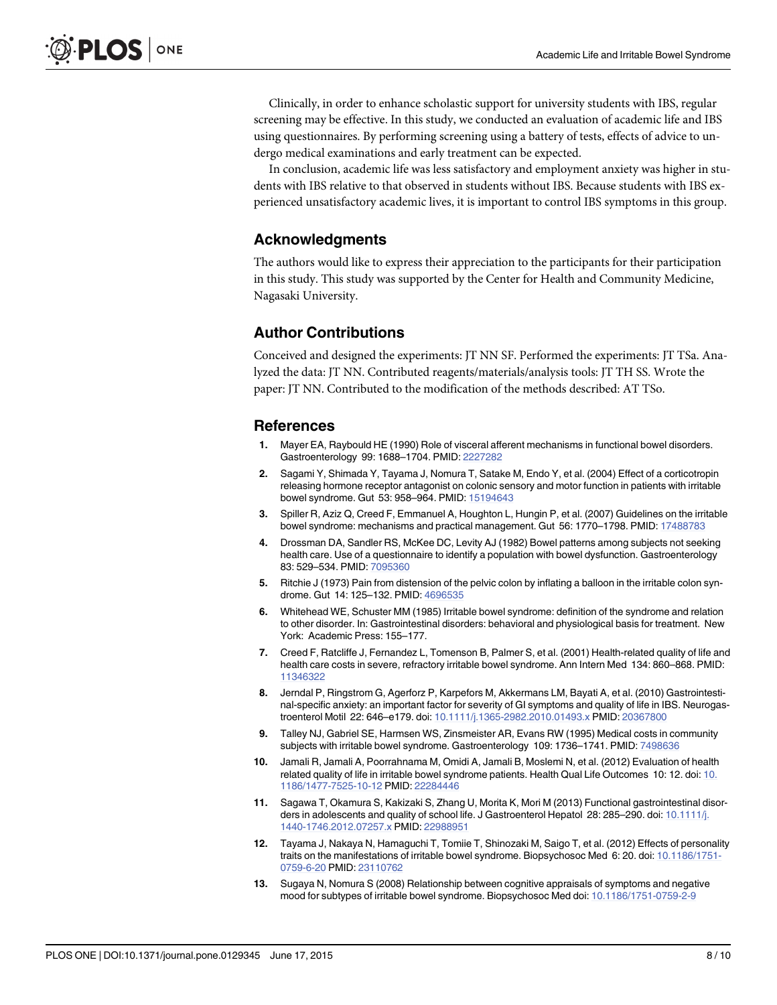<span id="page-7-0"></span>Clinically, in order to enhance scholastic support for university students with IBS, regular screening may be effective. In this study, we conducted an evaluation of academic life and IBS using questionnaires. By performing screening using a battery of tests, effects of advice to undergo medical examinations and early treatment can be expected.

In conclusion, academic life was less satisfactory and employment anxiety was higher in students with IBS relative to that observed in students without IBS. Because students with IBS experienced unsatisfactory academic lives, it is important to control IBS symptoms in this group.

# Acknowledgments

The authors would like to express their appreciation to the participants for their participation in this study. This study was supported by the Center for Health and Community Medicine, Nagasaki University.

# Author Contributions

Conceived and designed the experiments: JT NN SF. Performed the experiments: JT TSa. Analyzed the data: JT NN. Contributed reagents/materials/analysis tools: JT TH SS. Wrote the paper: JT NN. Contributed to the modification of the methods described: AT TSo.

# References

- [1.](#page-0-0) Mayer EA, Raybould HE (1990) Role of visceral afferent mechanisms in functional bowel disorders. Gastroenterology 99: 1688–1704. PMID: [2227282](http://www.ncbi.nlm.nih.gov/pubmed/2227282)
- [2.](#page-0-0) Sagami Y, Shimada Y, Tayama J, Nomura T, Satake M, Endo Y, et al. (2004) Effect of a corticotropin releasing hormone receptor antagonist on colonic sensory and motor function in patients with irritable bowel syndrome. Gut 53: 958–964. PMID: [15194643](http://www.ncbi.nlm.nih.gov/pubmed/15194643)
- [3.](#page-0-0) Spiller R, Aziz Q, Creed F, Emmanuel A, Houghton L, Hungin P, et al. (2007) Guidelines on the irritable bowel syndrome: mechanisms and practical management. Gut 56: 1770–1798. PMID: [17488783](http://www.ncbi.nlm.nih.gov/pubmed/17488783)
- [4.](#page-0-0) Drossman DA, Sandler RS, McKee DC, Levity AJ (1982) Bowel patterns among subjects not seeking health care. Use of a questionnaire to identify a population with bowel dysfunction. Gastroenterology 83: 529–534. PMID: [7095360](http://www.ncbi.nlm.nih.gov/pubmed/7095360)
- [5.](#page-0-0) Ritchie J (1973) Pain from distension of the pelvic colon by inflating a balloon in the irritable colon syndrome. Gut 14: 125–132. PMID: [4696535](http://www.ncbi.nlm.nih.gov/pubmed/4696535)
- [6.](#page-0-0) Whitehead WE, Schuster MM (1985) Irritable bowel syndrome: definition of the syndrome and relation to other disorder. In: Gastrointestinal disorders: behavioral and physiological basis for treatment. New York: Academic Press: 155–177.
- [7.](#page-0-0) Creed F, Ratcliffe J, Fernandez L, Tomenson B, Palmer S, et al. (2001) Health-related quality of life and health care costs in severe, refractory irritable bowel syndrome. Ann Intern Med 134: 860–868. PMID: [11346322](http://www.ncbi.nlm.nih.gov/pubmed/11346322)
- 8. Jerndal P, Ringstrom G, Agerforz P, Karpefors M, Akkermans LM, Bayati A, et al. (2010) Gastrointestinal-specific anxiety: an important factor for severity of GI symptoms and quality of life in IBS. Neurogastroenterol Motil 22: 646–e179. doi: [10.1111/j.1365-2982.2010.01493.x](http://dx.doi.org/10.1111/j.1365-2982.2010.01493.x) PMID: [20367800](http://www.ncbi.nlm.nih.gov/pubmed/20367800)
- [9.](#page-1-0) Talley NJ, Gabriel SE, Harmsen WS, Zinsmeister AR, Evans RW (1995) Medical costs in community subjects with irritable bowel syndrome. Gastroenterology 109: 1736–1741. PMID: [7498636](http://www.ncbi.nlm.nih.gov/pubmed/7498636)
- [10.](#page-0-0) Jamali R, Jamali A, Poorrahnama M, Omidi A, Jamali B, Moslemi N, et al. (2012) Evaluation of health related quality of life in irritable bowel syndrome patients. Health Qual Life Outcomes 10: 12. doi: [10.](http://dx.doi.org/10.1186/1477-7525-10-12) [1186/1477-7525-10-12](http://dx.doi.org/10.1186/1477-7525-10-12) PMID: [22284446](http://www.ncbi.nlm.nih.gov/pubmed/22284446)
- [11.](#page-1-0) Sagawa T, Okamura S, Kakizaki S, Zhang U, Morita K, Mori M (2013) Functional gastrointestinal disor-ders in adolescents and quality of school life. J Gastroenterol Hepatol 28: 285-290. doi: [10.1111/j.](http://dx.doi.org/10.1111/j.1440-1746.2012.07257.x) [1440-1746.2012.07257.x](http://dx.doi.org/10.1111/j.1440-1746.2012.07257.x) PMID: [22988951](http://www.ncbi.nlm.nih.gov/pubmed/22988951)
- [12.](#page-1-0) Tayama J, Nakaya N, Hamaguchi T, Tomiie T, Shinozaki M, Saigo T, et al. (2012) Effects of personality traits on the manifestations of irritable bowel syndrome. Biopsychosoc Med 6: 20. doi: [10.1186/1751-](http://dx.doi.org/10.1186/1751-0759-6-20) [0759-6-20](http://dx.doi.org/10.1186/1751-0759-6-20) PMID: [23110762](http://www.ncbi.nlm.nih.gov/pubmed/23110762)
- [13.](#page-1-0) Sugaya N, Nomura S (2008) Relationship between cognitive appraisals of symptoms and negative mood for subtypes of irritable bowel syndrome. Biopsychosoc Med doi: [10.1186/1751-0759-2-9](http://dx.doi.org/10.1186/1751-0759-2-9)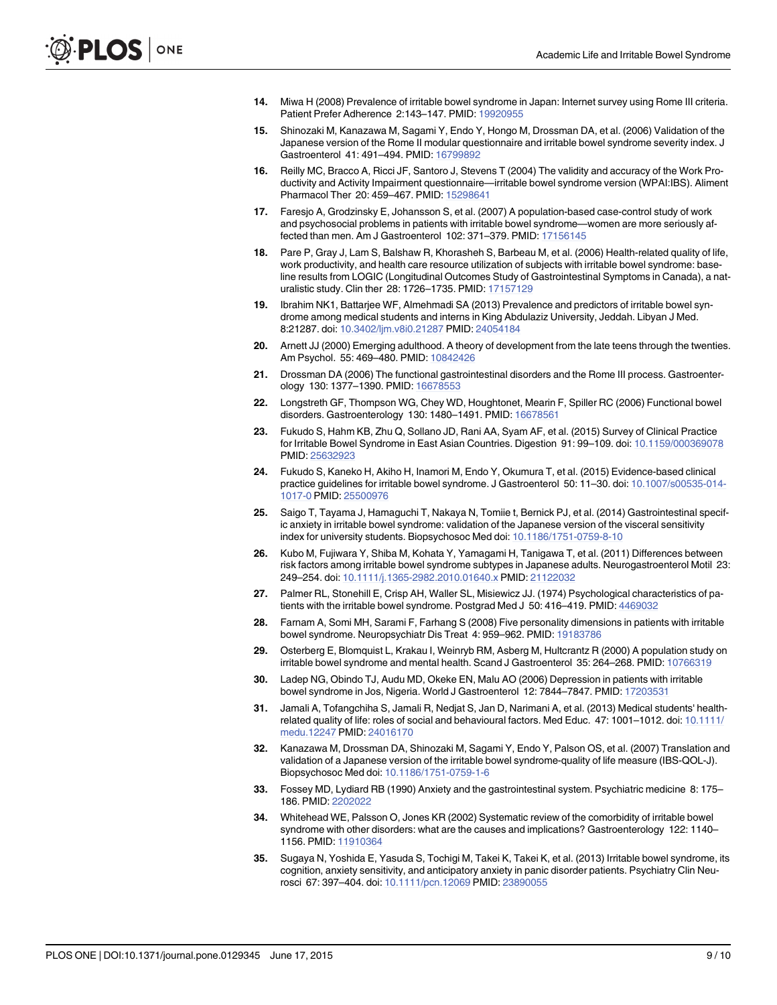- <span id="page-8-0"></span>[14.](#page-1-0) Miwa H (2008) Prevalence of irritable bowel syndrome in Japan: Internet survey using Rome III criteria. Patient Prefer Adherence 2:143–147. PMID: [19920955](http://www.ncbi.nlm.nih.gov/pubmed/19920955)
- [15.](#page-1-0) Shinozaki M, Kanazawa M, Sagami Y, Endo Y, Hongo M, Drossman DA, et al. (2006) Validation of the Japanese version of the Rome II modular questionnaire and irritable bowel syndrome severity index. J Gastroenterol 41: 491–494. PMID: [16799892](http://www.ncbi.nlm.nih.gov/pubmed/16799892)
- [16.](#page-1-0) Reilly MC, Bracco A, Ricci JF, Santoro J, Stevens T (2004) The validity and accuracy of the Work Productivity and Activity Impairment questionnaire—irritable bowel syndrome version (WPAI:IBS). Aliment Pharmacol Ther 20: 459–467. PMID: [15298641](http://www.ncbi.nlm.nih.gov/pubmed/15298641)
- [17.](#page-1-0) Faresjo A, Grodzinsky E, Johansson S, et al. (2007) A population-based case-control study of work and psychosocial problems in patients with irritable bowel syndrome—women are more seriously af-fected than men. Am J Gastroenterol 102: 371-379. PMID: [17156145](http://www.ncbi.nlm.nih.gov/pubmed/17156145)
- [18.](#page-1-0) Pare P, Gray J, Lam S, Balshaw R, Khorasheh S, Barbeau M, et al. (2006) Health-related quality of life, work productivity, and health care resource utilization of subjects with irritable bowel syndrome: baseline results from LOGIC (Longitudinal Outcomes Study of Gastrointestinal Symptoms in Canada), a naturalistic study. Clin ther 28: 1726–1735. PMID: [17157129](http://www.ncbi.nlm.nih.gov/pubmed/17157129)
- [19.](#page-1-0) Ibrahim NK1, Battarjee WF, Almehmadi SA (2013) Prevalence and predictors of irritable bowel syndrome among medical students and interns in King Abdulaziz University, Jeddah. Libyan J Med. 8:21287. doi: [10.3402/ljm.v8i0.21287](http://dx.doi.org/10.3402/ljm.v8i0.21287) PMID: [24054184](http://www.ncbi.nlm.nih.gov/pubmed/24054184)
- [20.](#page-1-0) Arnett JJ (2000) Emerging adulthood. A theory of development from the late teens through the twenties. Am Psychol. 55: 469–480. PMID: [10842426](http://www.ncbi.nlm.nih.gov/pubmed/10842426)
- [21.](#page-2-0) Drossman DA (2006) The functional gastrointestinal disorders and the Rome III process. Gastroenterology 130: 1377–1390. PMID: [16678553](http://www.ncbi.nlm.nih.gov/pubmed/16678553)
- [22.](#page-2-0) Longstreth GF, Thompson WG, Chey WD, Houghtonet, Mearin F, Spiller RC (2006) Functional bowel disorders. Gastroenterology 130: 1480–1491. PMID: [16678561](http://www.ncbi.nlm.nih.gov/pubmed/16678561)
- [23.](#page-2-0) Fukudo S, Hahm KB, Zhu Q, Sollano JD, Rani AA, Syam AF, et al. (2015) Survey of Clinical Practice for Irritable Bowel Syndrome in East Asian Countries. Digestion 91: 99–109. doi: [10.1159/000369078](http://dx.doi.org/10.1159/000369078) PMID: [25632923](http://www.ncbi.nlm.nih.gov/pubmed/25632923)
- [24.](#page-2-0) Fukudo S, Kaneko H, Akiho H, Inamori M, Endo Y, Okumura T, et al. (2015) Evidence-based clinical practice guidelines for irritable bowel syndrome. J Gastroenterol 50: 11-30. doi: [10.1007/s00535-014-](http://dx.doi.org/10.1007/s00535-014-1017-0) [1017-0](http://dx.doi.org/10.1007/s00535-014-1017-0) PMID: [25500976](http://www.ncbi.nlm.nih.gov/pubmed/25500976)
- [25.](#page-3-0) Saigo T, Tayama J, Hamaguchi T, Nakaya N, Tomiie t, Bernick PJ, et al. (2014) Gastrointestinal specific anxiety in irritable bowel syndrome: validation of the Japanese version of the visceral sensitivity index for university students. Biopsychosoc Med doi: [10.1186/1751-0759-8-10](http://dx.doi.org/10.1186/1751-0759-8-10)
- [26.](#page-3-0) Kubo M, Fujiwara Y, Shiba M, Kohata Y, Yamagami H, Tanigawa T, et al. (2011) Differences between risk factors among irritable bowel syndrome subtypes in Japanese adults. Neurogastroenterol Motil 23: 249–254. doi: [10.1111/j.1365-2982.2010.01640.x](http://dx.doi.org/10.1111/j.1365-2982.2010.01640.x) PMID: [21122032](http://www.ncbi.nlm.nih.gov/pubmed/21122032)
- [27.](#page-5-0) Palmer RL, Stonehill E, Crisp AH, Waller SL, Misiewicz JJ. (1974) Psychological characteristics of pa-tients with the irritable bowel syndrome. Postgrad Med J 50: 416-419. PMID: [4469032](http://www.ncbi.nlm.nih.gov/pubmed/4469032)
- [28.](#page-5-0) Farnam A, Somi MH, Sarami F, Farhang S (2008) Five personality dimensions in patients with irritable bowel syndrome. Neuropsychiatr Dis Treat 4: 959-962. PMID: [19183786](http://www.ncbi.nlm.nih.gov/pubmed/19183786)
- [29.](#page-5-0) Osterberg E, Blomquist L, Krakau I, Weinryb RM, Asberg M, Hultcrantz R (2000) A population study on irritable bowel syndrome and mental health. Scand J Gastroenterol 35: 264-268. PMID: [10766319](http://www.ncbi.nlm.nih.gov/pubmed/10766319)
- [30.](#page-5-0) Ladep NG, Obindo TJ, Audu MD, Okeke EN, Malu AO (2006) Depression in patients with irritable bowel syndrome in Jos, Nigeria. World J Gastroenterol 12: 7844–7847. PMID: [17203531](http://www.ncbi.nlm.nih.gov/pubmed/17203531)
- [31.](#page-5-0) Jamali A, Tofangchiha S, Jamali R, Nedjat S, Jan D, Narimani A, et al. (2013) Medical students' healthrelated quality of life: roles of social and behavioural factors. Med Educ. 47: 1001–1012. doi: [10.1111/](http://dx.doi.org/10.1111/medu.12247) [medu.12247](http://dx.doi.org/10.1111/medu.12247) PMID: [24016170](http://www.ncbi.nlm.nih.gov/pubmed/24016170)
- [32.](#page-6-0) Kanazawa M, Drossman DA, Shinozaki M, Sagami Y, Endo Y, Palson OS, et al. (2007) Translation and validation of a Japanese version of the irritable bowel syndrome-quality of life measure (IBS-QOL-J). Biopsychosoc Med doi: [10.1186/1751-0759-1-6](http://dx.doi.org/10.1186/1751-0759-1-6)
- [33.](#page-6-0) Fossey MD, Lydiard RB (1990) Anxiety and the gastrointestinal system. Psychiatric medicine 8: 175– 186. PMID: [2202022](http://www.ncbi.nlm.nih.gov/pubmed/2202022)
- [34.](#page-6-0) Whitehead WE, Palsson O, Jones KR (2002) Systematic review of the comorbidity of irritable bowel syndrome with other disorders: what are the causes and implications? Gastroenterology 122: 1140– 1156. PMID: [11910364](http://www.ncbi.nlm.nih.gov/pubmed/11910364)
- [35.](#page-6-0) Sugaya N, Yoshida E, Yasuda S, Tochigi M, Takei K, Takei K, et al. (2013) Irritable bowel syndrome, its cognition, anxiety sensitivity, and anticipatory anxiety in panic disorder patients. Psychiatry Clin Neurosci 67: 397–404. doi: [10.1111/pcn.12069](http://dx.doi.org/10.1111/pcn.12069) PMID: [23890055](http://www.ncbi.nlm.nih.gov/pubmed/23890055)